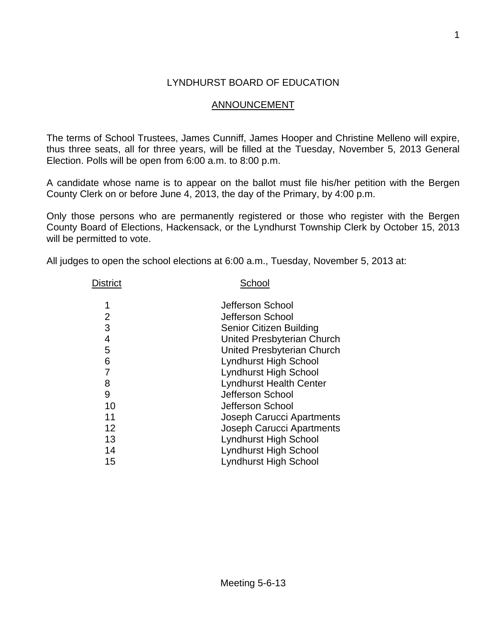## LYNDHURST BOARD OF EDUCATION

## ANNOUNCEMENT

The terms of School Trustees, James Cunniff, James Hooper and Christine Melleno will expire, thus three seats, all for three years, will be filled at the Tuesday, November 5, 2013 General Election. Polls will be open from 6:00 a.m. to 8:00 p.m.

A candidate whose name is to appear on the ballot must file his/her petition with the Bergen County Clerk on or before June 4, 2013, the day of the Primary, by 4:00 p.m.

Only those persons who are permanently registered or those who register with the Bergen County Board of Elections, Hackensack, or the Lyndhurst Township Clerk by October 15, 2013 will be permitted to vote.

All judges to open the school elections at 6:00 a.m., Tuesday, November 5, 2013 at:

| District | School                           |  |  |
|----------|----------------------------------|--|--|
| 1        | Jefferson School                 |  |  |
| 2        | Jefferson School                 |  |  |
| 3        | Senior Citizen Building          |  |  |
| 4        | United Presbyterian Church       |  |  |
| 5        | United Presbyterian Church       |  |  |
| 6        | <b>Lyndhurst High School</b>     |  |  |
| 7        | <b>Lyndhurst High School</b>     |  |  |
| 8        | <b>Lyndhurst Health Center</b>   |  |  |
| 9        | Jefferson School                 |  |  |
| 10       | Jefferson School                 |  |  |
| 11       | Joseph Carucci Apartments        |  |  |
| 12       | <b>Joseph Carucci Apartments</b> |  |  |
| 13       | <b>Lyndhurst High School</b>     |  |  |
| 14       | <b>Lyndhurst High School</b>     |  |  |
| 15       | <b>Lyndhurst High School</b>     |  |  |
|          |                                  |  |  |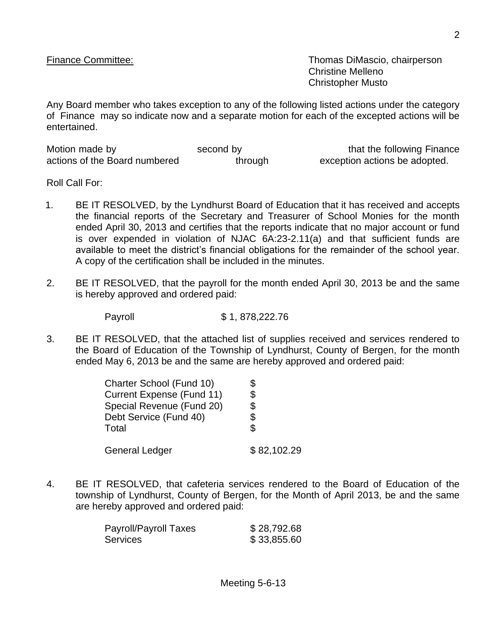Finance Committee: Thomas DiMascio, chairperson Christine Melleno Christopher Musto

Any Board member who takes exception to any of the following listed actions under the category of Finance may so indicate now and a separate motion for each of the excepted actions will be entertained.

| Motion made by                | second by | that the following Finance    |
|-------------------------------|-----------|-------------------------------|
| actions of the Board numbered | through   | exception actions be adopted. |

Roll Call For:

- 1. BE IT RESOLVED, by the Lyndhurst Board of Education that it has received and accepts the financial reports of the Secretary and Treasurer of School Monies for the month ended April 30, 2013 and certifies that the reports indicate that no major account or fund is over expended in violation of NJAC 6A:23-2.11(a) and that sufficient funds are available to meet the district's financial obligations for the remainder of the school year. A copy of the certification shall be included in the minutes.
- 2. BE IT RESOLVED, that the payroll for the month ended April 30, 2013 be and the same is hereby approved and ordered paid:

Payroll \$ 1, 878,222.76

3. BE IT RESOLVED, that the attached list of supplies received and services rendered to the Board of Education of the Township of Lyndhurst, County of Bergen, for the month ended May 6, 2013 be and the same are hereby approved and ordered paid:

| Charter School (Fund 10)         |             |
|----------------------------------|-------------|
| <b>Current Expense (Fund 11)</b> | \$          |
| Special Revenue (Fund 20)        | \$          |
| Debt Service (Fund 40)           | \$          |
| Total                            | S.          |
| <b>General Ledger</b>            | \$82,102.29 |

4. BE IT RESOLVED, that cafeteria services rendered to the Board of Education of the township of Lyndhurst, County of Bergen, for the Month of April 2013, be and the same are hereby approved and ordered paid:

| Payroll/Payroll Taxes | \$28,792.68 |
|-----------------------|-------------|
| Services              | \$33,855.60 |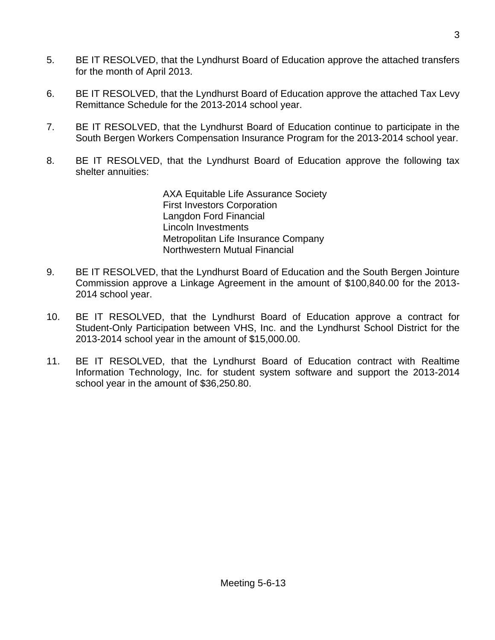- 5. BE IT RESOLVED, that the Lyndhurst Board of Education approve the attached transfers for the month of April 2013.
- 6. BE IT RESOLVED, that the Lyndhurst Board of Education approve the attached Tax Levy Remittance Schedule for the 2013-2014 school year.
- 7. BE IT RESOLVED, that the Lyndhurst Board of Education continue to participate in the South Bergen Workers Compensation Insurance Program for the 2013-2014 school year.
- 8. BE IT RESOLVED, that the Lyndhurst Board of Education approve the following tax shelter annuities:

AXA Equitable Life Assurance Society First Investors Corporation Langdon Ford Financial Lincoln Investments Metropolitan Life Insurance Company Northwestern Mutual Financial

- 9. BE IT RESOLVED, that the Lyndhurst Board of Education and the South Bergen Jointure Commission approve a Linkage Agreement in the amount of \$100,840.00 for the 2013- 2014 school year.
- 10. BE IT RESOLVED, that the Lyndhurst Board of Education approve a contract for Student-Only Participation between VHS, Inc. and the Lyndhurst School District for the 2013-2014 school year in the amount of \$15,000.00.
- 11. BE IT RESOLVED, that the Lyndhurst Board of Education contract with Realtime Information Technology, Inc. for student system software and support the 2013-2014 school year in the amount of \$36,250.80.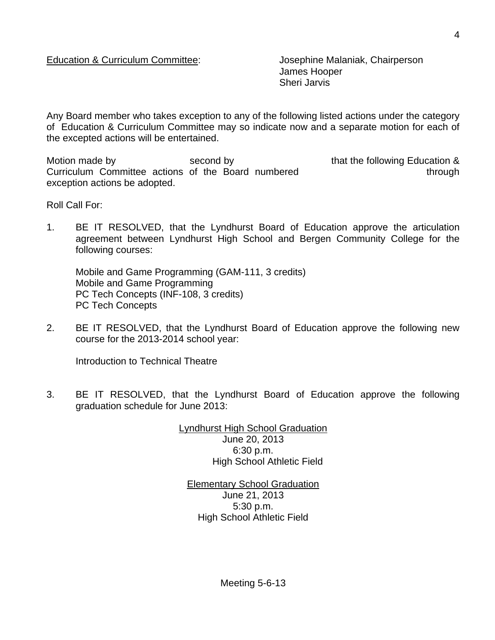James Hooper Sheri Jarvis

Any Board member who takes exception to any of the following listed actions under the category of Education & Curriculum Committee may so indicate now and a separate motion for each of the excepted actions will be entertained.

Motion made by **Second by** second by that the following Education & Curriculum Committee actions of the Board numbered through through exception actions be adopted.

Roll Call For:

1. BE IT RESOLVED, that the Lyndhurst Board of Education approve the articulation agreement between Lyndhurst High School and Bergen Community College for the following courses:

Mobile and Game Programming (GAM-111, 3 credits) Mobile and Game Programming PC Tech Concepts (INF-108, 3 credits) PC Tech Concepts

2. BE IT RESOLVED, that the Lyndhurst Board of Education approve the following new course for the 2013-2014 school year:

Introduction to Technical Theatre

3. BE IT RESOLVED, that the Lyndhurst Board of Education approve the following graduation schedule for June 2013:

> Lyndhurst High School Graduation June 20, 2013 6:30 p.m. High School Athletic Field

Elementary School Graduation June 21, 2013 5:30 p.m. High School Athletic Field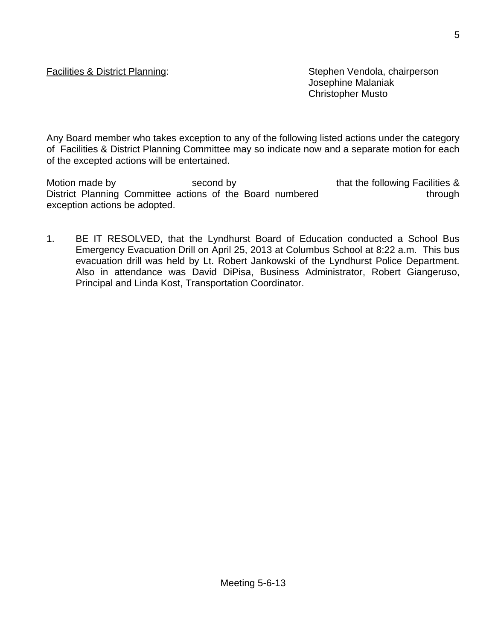Facilities & District Planning: Stephen Vendola, chairperson Josephine Malaniak Christopher Musto

Any Board member who takes exception to any of the following listed actions under the category of Facilities & District Planning Committee may so indicate now and a separate motion for each of the excepted actions will be entertained.

Motion made by second by second by that the following Facilities & District Planning Committee actions of the Board numbered through exception actions be adopted.

1. BE IT RESOLVED, that the Lyndhurst Board of Education conducted a School Bus Emergency Evacuation Drill on April 25, 2013 at Columbus School at 8:22 a.m. This bus evacuation drill was held by Lt. Robert Jankowski of the Lyndhurst Police Department. Also in attendance was David DiPisa, Business Administrator, Robert Giangeruso, Principal and Linda Kost, Transportation Coordinator.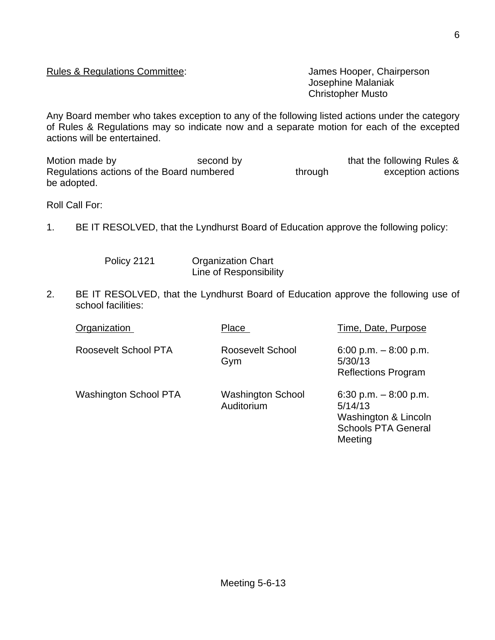## Rules & Regulations Committee: James Hooper, Chairperson

Josephine Malaniak Christopher Musto

Any Board member who takes exception to any of the following listed actions under the category of Rules & Regulations may so indicate now and a separate motion for each of the excepted actions will be entertained.

Motion made by Second by second by that the following Rules & Regulations actions of the Board numbered through exception actions be adopted.

Roll Call For:

1. BE IT RESOLVED, that the Lyndhurst Board of Education approve the following policy:

Policy 2121 Organization Chart Line of Responsibility

2. BE IT RESOLVED, that the Lyndhurst Board of Education approve the following use of school facilities:

| Organization          | Place                                  | Time, Date, Purpose                                                                                |
|-----------------------|----------------------------------------|----------------------------------------------------------------------------------------------------|
| Roosevelt School PTA  | Roosevelt School<br>Gym                | 6:00 p.m. $-8:00$ p.m.<br>5/30/13<br><b>Reflections Program</b>                                    |
| Washington School PTA | <b>Washington School</b><br>Auditorium | 6:30 p.m. $-8:00$ p.m.<br>5/14/13<br>Washington & Lincoln<br><b>Schools PTA General</b><br>Meeting |